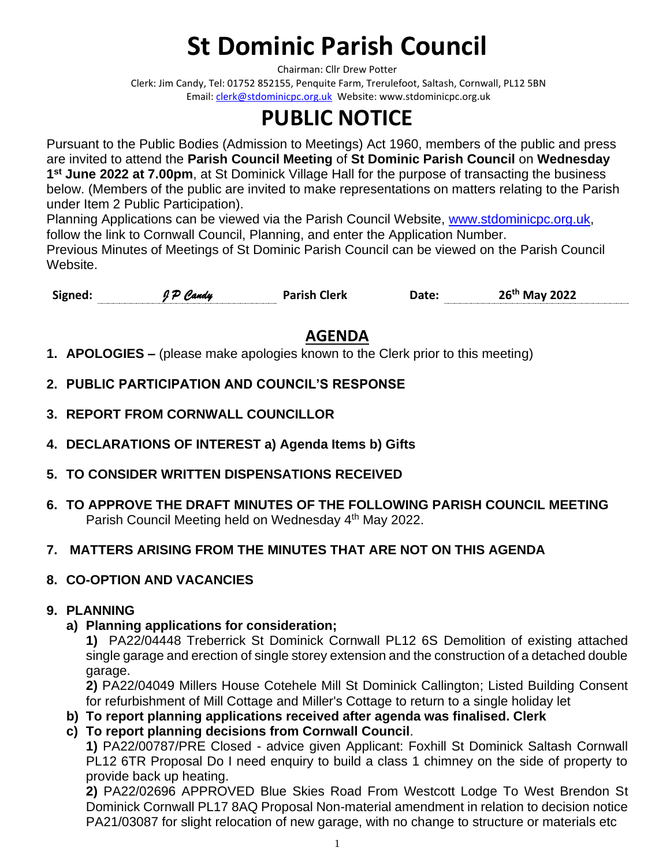# **St Dominic Parish Council**

Chairman: Cllr Drew Potter

Clerk: Jim Candy, Tel: 01752 852155, Penquite Farm, Trerulefoot, Saltash, Cornwall, PL12 5BN Email[: clerk@stdominicpc.org.uk](mailto:clerk@stdominicpc.org.uk) Website: www.stdominicpc.org.uk

## **PUBLIC NOTICE**

Pursuant to the Public Bodies (Admission to Meetings) Act 1960, members of the public and press are invited to attend the **Parish Council Meeting** of **St Dominic Parish Council** on **Wednesday 1 st June 2022 at 7.00pm**, at St Dominick Village Hall for the purpose of transacting the business below. (Members of the public are invited to make representations on matters relating to the Parish under Item 2 Public Participation).

Planning Applications can be viewed via the Parish Council Website, [www.stdominicpc.org.uk,](http://www.stdominicpc.org.uk/) follow the link to Cornwall Council, Planning, and enter the Application Number. Previous Minutes of Meetings of St Dominic Parish Council can be viewed on the Parish Council Website.

**Signed:** *J P Candy* **Parish Clerk Date: 26 th May 2022**

### **AGENDA**

- **1. APOLOGIES –** (please make apologies known to the Clerk prior to this meeting)
- **2. PUBLIC PARTICIPATION AND COUNCIL'S RESPONSE**
- **3. REPORT FROM CORNWALL COUNCILLOR**
- **4. DECLARATIONS OF INTEREST a) Agenda Items b) Gifts**
- **5. TO CONSIDER WRITTEN DISPENSATIONS RECEIVED**
- **6. TO APPROVE THE DRAFT MINUTES OF THE FOLLOWING PARISH COUNCIL MEETING** Parish Council Meeting held on Wednesday 4<sup>th</sup> May 2022.

#### **7. MATTERS ARISING FROM THE MINUTES THAT ARE NOT ON THIS AGENDA**

#### **8. CO-OPTION AND VACANCIES**

#### **9. PLANNING**

#### **a) Planning applications for consideration;**

**1)** PA22/04448 Treberrick St Dominick Cornwall PL12 6S Demolition of existing attached single garage and erection of single storey extension and the construction of a detached double garage.

**2)** PA22/04049 Millers House Cotehele Mill St Dominick Callington; Listed Building Consent for refurbishment of Mill Cottage and Miller's Cottage to return to a single holiday let

- **b) To report planning applications received after agenda was finalised. Clerk**
- **c) To report planning decisions from Cornwall Council**.

**1)** PA22/00787/PRE Closed - advice given Applicant: Foxhill St Dominick Saltash Cornwall PL12 6TR Proposal Do I need enquiry to build a class 1 chimney on the side of property to provide back up heating.

**2)** PA22/02696 APPROVED Blue Skies Road From Westcott Lodge To West Brendon St Dominick Cornwall PL17 8AQ Proposal Non-material amendment in relation to decision notice PA21/03087 for slight relocation of new garage, with no change to structure or materials etc